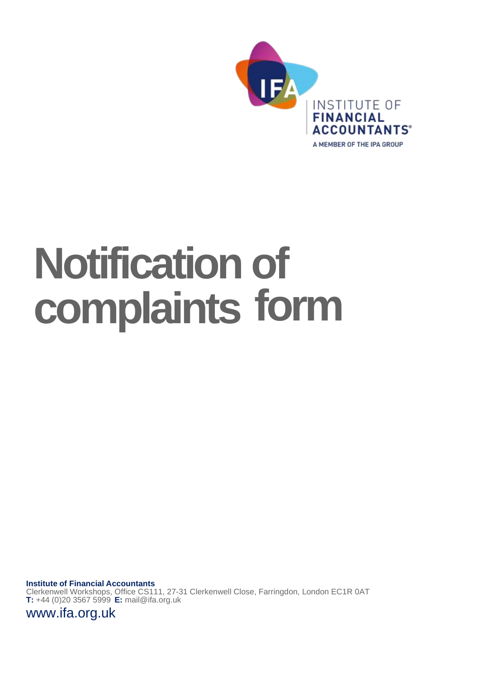

# **Notification of complaints form**

**Institute of Financial Accountants** Clerkenwell Workshops, Office CS111, 27-31 Clerkenwell Close, Farringdon, London EC1R 0AT **T:** +44 (0)20 3567 5999 **E:** [mail@ifa.org.uk](mailto:mail@ifa.org.uk)

[www.ifa.org.uk](http://www.ifa.org.uk/)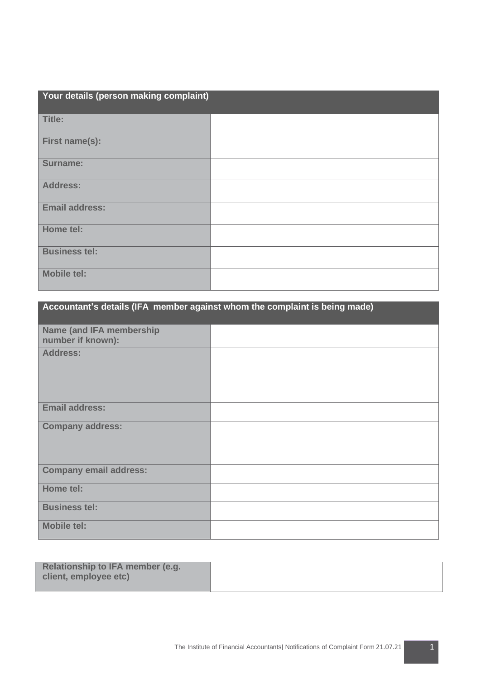| Your details (person making complaint) |  |
|----------------------------------------|--|
| Title:                                 |  |
| First name(s):                         |  |
| <b>Surname:</b>                        |  |
| <b>Address:</b>                        |  |
| <b>Email address:</b>                  |  |
| Home tel:                              |  |
| <b>Business tel:</b>                   |  |
| <b>Mobile tel:</b>                     |  |

| Accountant's details (IFA member against whom the complaint is being made) |  |
|----------------------------------------------------------------------------|--|
| <b>Name (and IFA membership)</b><br>number if known):                      |  |
| <b>Address:</b>                                                            |  |
| <b>Email address:</b>                                                      |  |
| <b>Company address:</b>                                                    |  |
| <b>Company email address:</b>                                              |  |
| Home tel:                                                                  |  |
| <b>Business tel:</b>                                                       |  |
| <b>Mobile tel:</b>                                                         |  |

| Relationship to IFA member (e.g. |  |
|----------------------------------|--|
| client, employee etc)            |  |
|                                  |  |

ſ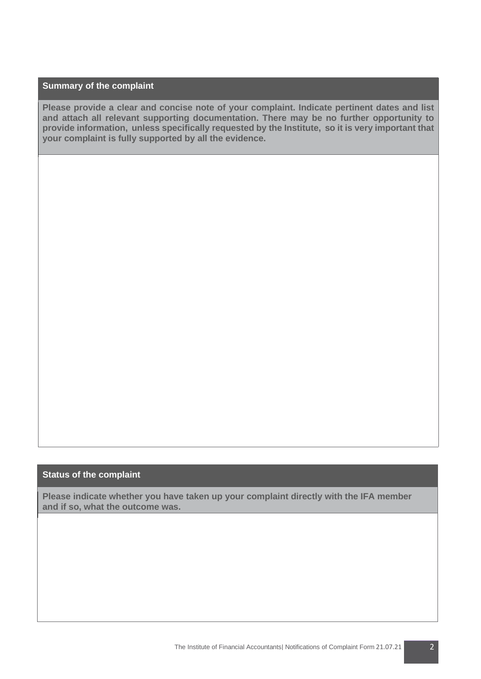## **Summary of the complaint**

**Please provide a clear and concise note of your complaint. Indicate pertinent dates and list and attach all relevant supporting documentation. There may be no further opportunity to provide information, unless specifically requested by the Institute, so it is very important that your complaint is fully supported by all the evidence.**

### **Status of the complaint**

**Please indicate whether you have taken up your complaint directly with the IFA member and if so, what the outcome was.**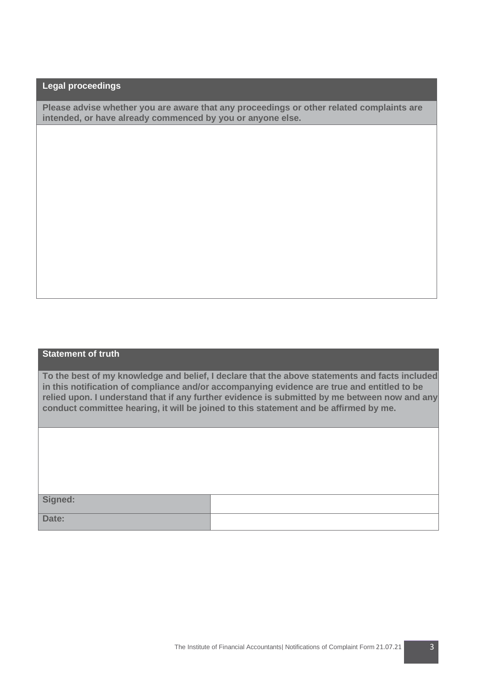# **Legal proceedings**

**Please advise whether you are aware that any proceedings or other related complaints are intended, or have already commenced by you or anyone else.**

#### **Statement of truth**

**To the best of my knowledge and belief, I declare that the above statements and facts included in this notification of compliance and/or accompanying evidence are true and entitled to be relied upon. I understand that if any further evidence is submitted by me between now and any conduct committee hearing, it will be joined to this statement and be affirmed by me.** 

**Signed: Date:**